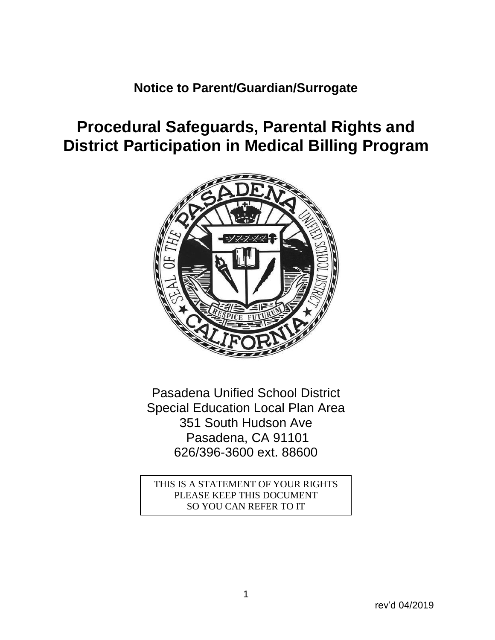## **Notice to Parent/Guardian/Surrogate**

# **Procedural Safeguards, Parental Rights and District Participation in Medical Billing Program**



Pasadena Unified School District Special Education Local Plan Area 351 South Hudson Ave Pasadena, CA 91101 626/396-3600 ext. 88600

THIS IS A STATEMENT OF YOUR RIGHTS PLEASE KEEP THIS DOCUMENT SO YOU CAN REFER TO IT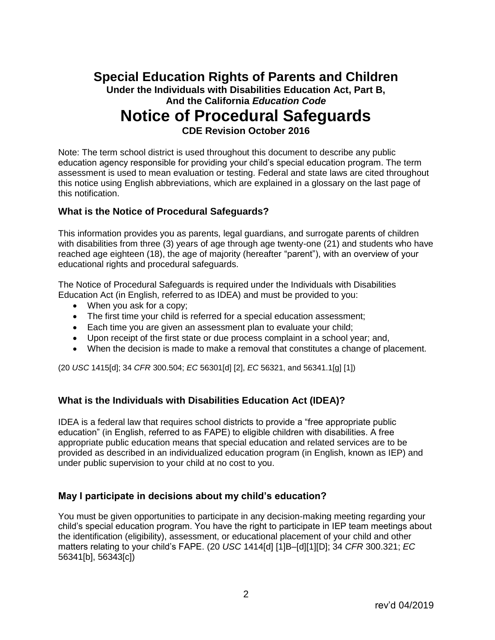## **Special Education Rights of Parents and Children Under the Individuals with Disabilities Education Act, Part B, And the California** *Education Code* **Notice of Procedural Safeguards**

**CDE Revision October 2016**

Note: The term school district is used throughout this document to describe any public education agency responsible for providing your child's special education program. The term assessment is used to mean evaluation or testing. Federal and state laws are cited throughout this notice using English abbreviations, which are explained in a glossary on the last page of this notification.

#### **What is the Notice of Procedural Safeguards?**

This information provides you as parents, legal guardians, and surrogate parents of children with disabilities from three (3) years of age through age twenty-one (21) and students who have reached age eighteen (18), the age of majority (hereafter "parent"), with an overview of your educational rights and procedural safeguards.

The Notice of Procedural Safeguards is required under the Individuals with Disabilities Education Act (in English, referred to as IDEA) and must be provided to you:

- When you ask for a copy;
- The first time your child is referred for a special education assessment;
- Each time you are given an assessment plan to evaluate your child;
- Upon receipt of the first state or due process complaint in a school year; and,
- When the decision is made to make a removal that constitutes a change of placement.

(20 *USC* 1415[d]; 34 *CFR* 300.504; *EC* 56301[d] [2], *EC* 56321, and 56341.1[g] [1])

#### **What is the Individuals with Disabilities Education Act (IDEA)?**

IDEA is a federal law that requires school districts to provide a "free appropriate public education" (in English, referred to as FAPE) to eligible children with disabilities. A free appropriate public education means that special education and related services are to be provided as described in an individualized education program (in English, known as IEP) and under public supervision to your child at no cost to you.

#### **May I participate in decisions about my child's education?**

You must be given opportunities to participate in any decision-making meeting regarding your child's special education program. You have the right to participate in IEP team meetings about the identification (eligibility), assessment, or educational placement of your child and other matters relating to your child's FAPE. (20 *USC* 1414[d] [1]B–[d][1][D]; 34 *CFR* 300.321; *EC* 56341[b], 56343[c])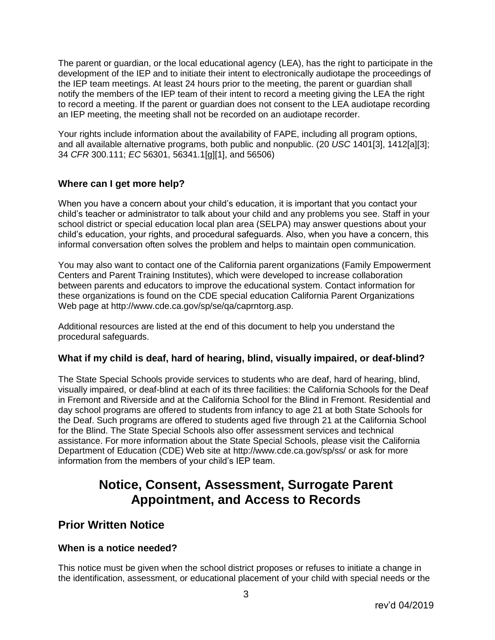The parent or guardian, or the local educational agency (LEA), has the right to participate in the development of the IEP and to initiate their intent to electronically audiotape the proceedings of the IEP team meetings. At least 24 hours prior to the meeting, the parent or guardian shall notify the members of the IEP team of their intent to record a meeting giving the LEA the right to record a meeting. If the parent or guardian does not consent to the LEA audiotape recording an IEP meeting, the meeting shall not be recorded on an audiotape recorder.

Your rights include information about the availability of FAPE, including all program options, and all available alternative programs, both public and nonpublic. (20 *USC* 1401[3], 1412[a][3]; 34 *CFR* 300.111; *EC* 56301, 56341.1[g][1], and 56506)

#### **Where can I get more help?**

When you have a concern about your child's education, it is important that you contact your child's teacher or administrator to talk about your child and any problems you see. Staff in your school district or special education local plan area (SELPA) may answer questions about your child's education, your rights, and procedural safeguards. Also, when you have a concern, this informal conversation often solves the problem and helps to maintain open communication.

You may also want to contact one of the California parent organizations (Family Empowerment Centers and Parent Training Institutes), which were developed to increase collaboration between parents and educators to improve the educational system. Contact information for these organizations is found on the CDE special education California Parent Organizations Web page at http://www.cde.ca.gov/sp/se/qa/caprntorg.asp.

Additional resources are listed at the end of this document to help you understand the procedural safeguards.

#### **What if my child is deaf, hard of hearing, blind, visually impaired, or deaf-blind?**

The State Special Schools provide services to students who are deaf, hard of hearing, blind, visually impaired, or deaf-blind at each of its three facilities: the California Schools for the Deaf in Fremont and Riverside and at the California School for the Blind in Fremont. Residential and day school programs are offered to students from infancy to age 21 at both State Schools for the Deaf. Such programs are offered to students aged five through 21 at the California School for the Blind. The State Special Schools also offer assessment services and technical assistance. For more information about the State Special Schools, please visit the California Department of Education (CDE) Web site at http://www.cde.ca.gov/sp/ss/ or ask for more information from the members of your child's IEP team.

## **Notice, Consent, Assessment, Surrogate Parent Appointment, and Access to Records**

### **Prior Written Notice**

#### **When is a notice needed?**

This notice must be given when the school district proposes or refuses to initiate a change in the identification, assessment, or educational placement of your child with special needs or the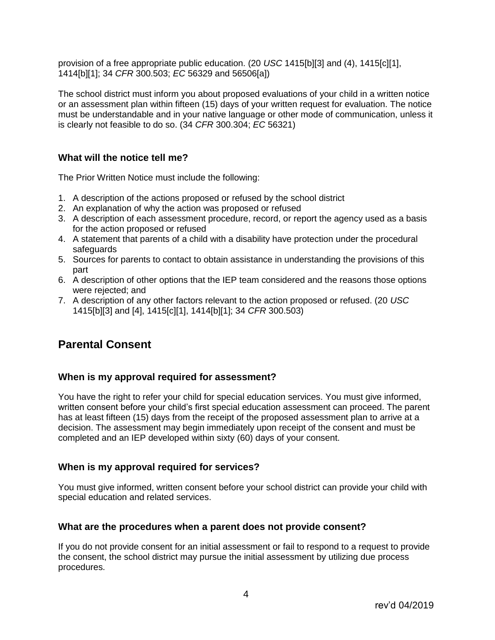provision of a free appropriate public education. (20 *USC* 1415[b][3] and (4), 1415[c][1], 1414[b][1]; 34 *CFR* 300.503; *EC* 56329 and 56506[a])

The school district must inform you about proposed evaluations of your child in a written notice or an assessment plan within fifteen (15) days of your written request for evaluation. The notice must be understandable and in your native language or other mode of communication, unless it is clearly not feasible to do so. (34 *CFR* 300.304; *EC* 56321)

#### **What will the notice tell me?**

The Prior Written Notice must include the following:

- 1. A description of the actions proposed or refused by the school district
- 2. An explanation of why the action was proposed or refused
- 3. A description of each assessment procedure, record, or report the agency used as a basis for the action proposed or refused
- 4. A statement that parents of a child with a disability have protection under the procedural safeguards
- 5. Sources for parents to contact to obtain assistance in understanding the provisions of this part
- 6. A description of other options that the IEP team considered and the reasons those options were rejected; and
- 7. A description of any other factors relevant to the action proposed or refused. (20 *USC* 1415[b][3] and [4], 1415[c][1], 1414[b][1]; 34 *CFR* 300.503)

## **Parental Consent**

#### **When is my approval required for assessment?**

You have the right to refer your child for special education services. You must give informed, written consent before your child's first special education assessment can proceed. The parent has at least fifteen (15) days from the receipt of the proposed assessment plan to arrive at a decision. The assessment may begin immediately upon receipt of the consent and must be completed and an IEP developed within sixty (60) days of your consent.

#### **When is my approval required for services?**

You must give informed, written consent before your school district can provide your child with special education and related services.

#### **What are the procedures when a parent does not provide consent?**

If you do not provide consent for an initial assessment or fail to respond to a request to provide the consent, the school district may pursue the initial assessment by utilizing due process procedures.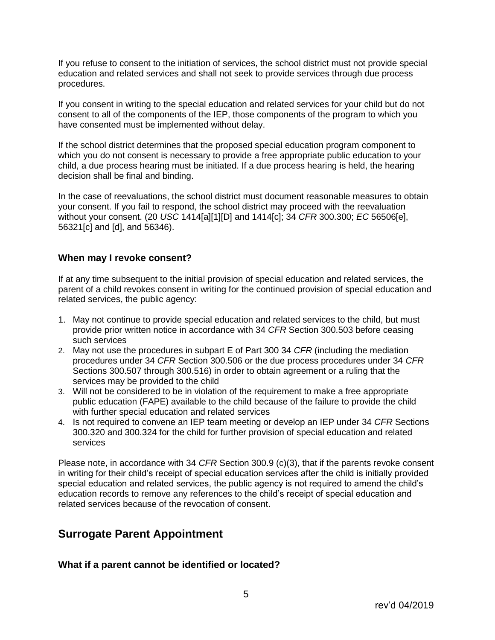If you refuse to consent to the initiation of services, the school district must not provide special education and related services and shall not seek to provide services through due process procedures.

If you consent in writing to the special education and related services for your child but do not consent to all of the components of the IEP, those components of the program to which you have consented must be implemented without delay.

If the school district determines that the proposed special education program component to which you do not consent is necessary to provide a free appropriate public education to your child, a due process hearing must be initiated. If a due process hearing is held, the hearing decision shall be final and binding.

In the case of reevaluations, the school district must document reasonable measures to obtain your consent. If you fail to respond, the school district may proceed with the reevaluation without your consent. (20 *USC* 1414[a][1][D] and 1414[c]; 34 *CFR* 300.300; *EC* 56506[e], 56321[c] and [d], and 56346).

#### **When may I revoke consent?**

If at any time subsequent to the initial provision of special education and related services, the parent of a child revokes consent in writing for the continued provision of special education and related services, the public agency:

- 1. May not continue to provide special education and related services to the child, but must provide prior written notice in accordance with 34 *CFR* Section 300.503 before ceasing such services
- 2. May not use the procedures in subpart E of Part 300 34 *CFR* (including the mediation procedures under 34 *CFR* Section 300.506 or the due process procedures under 34 *CFR* Sections 300.507 through 300.516) in order to obtain agreement or a ruling that the services may be provided to the child
- 3. Will not be considered to be in violation of the requirement to make a free appropriate public education (FAPE) available to the child because of the failure to provide the child with further special education and related services
- 4. Is not required to convene an IEP team meeting or develop an IEP under 34 *CFR* Sections 300.320 and 300.324 for the child for further provision of special education and related services

Please note, in accordance with 34 *CFR* Section 300.9 (c)(3), that if the parents revoke consent in writing for their child's receipt of special education services after the child is initially provided special education and related services, the public agency is not required to amend the child's education records to remove any references to the child's receipt of special education and related services because of the revocation of consent.

## **Surrogate Parent Appointment**

**What if a parent cannot be identified or located?**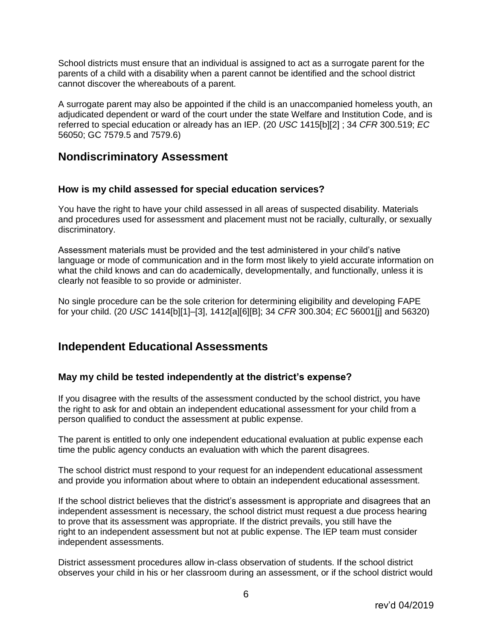School districts must ensure that an individual is assigned to act as a surrogate parent for the parents of a child with a disability when a parent cannot be identified and the school district cannot discover the whereabouts of a parent.

A surrogate parent may also be appointed if the child is an unaccompanied homeless youth, an adjudicated dependent or ward of the court under the state Welfare and Institution Code, and is referred to special education or already has an IEP. (20 *USC* 1415[b][2] ; 34 *CFR* 300.519; *EC* 56050; GC 7579.5 and 7579.6)

### **Nondiscriminatory Assessment**

#### **How is my child assessed for special education services?**

You have the right to have your child assessed in all areas of suspected disability. Materials and procedures used for assessment and placement must not be racially, culturally, or sexually discriminatory.

Assessment materials must be provided and the test administered in your child's native language or mode of communication and in the form most likely to yield accurate information on what the child knows and can do academically, developmentally, and functionally, unless it is clearly not feasible to so provide or administer.

No single procedure can be the sole criterion for determining eligibility and developing FAPE for your child. (20 *USC* 1414[b][1]–[3], 1412[a][6][B]; 34 *CFR* 300.304; *EC* 56001[j] and 56320)

### **Independent Educational Assessments**

#### **May my child be tested independently at the district's expense?**

If you disagree with the results of the assessment conducted by the school district, you have the right to ask for and obtain an independent educational assessment for your child from a person qualified to conduct the assessment at public expense.

The parent is entitled to only one independent educational evaluation at public expense each time the public agency conducts an evaluation with which the parent disagrees.

The school district must respond to your request for an independent educational assessment and provide you information about where to obtain an independent educational assessment.

If the school district believes that the district's assessment is appropriate and disagrees that an independent assessment is necessary, the school district must request a due process hearing to prove that its assessment was appropriate. If the district prevails, you still have the right to an independent assessment but not at public expense. The IEP team must consider independent assessments.

District assessment procedures allow in-class observation of students. If the school district observes your child in his or her classroom during an assessment, or if the school district would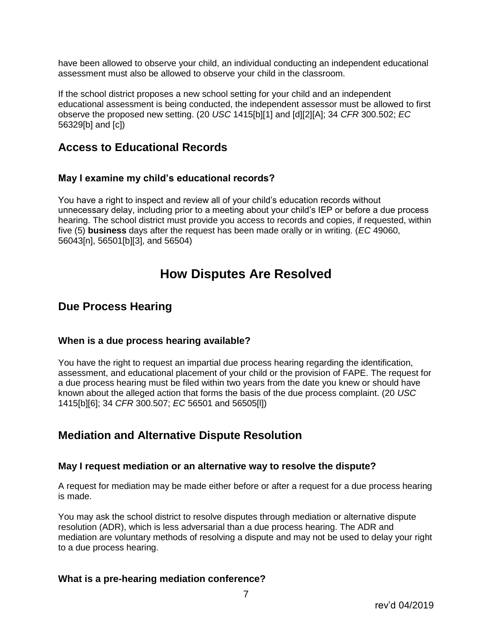have been allowed to observe your child, an individual conducting an independent educational assessment must also be allowed to observe your child in the classroom.

If the school district proposes a new school setting for your child and an independent educational assessment is being conducted, the independent assessor must be allowed to first observe the proposed new setting. (20 *USC* 1415[b][1] and [d][2][A]; 34 *CFR* 300.502; *EC* 56329[b] and [c])

### **Access to Educational Records**

#### **May I examine my child's educational records?**

You have a right to inspect and review all of your child's education records without unnecessary delay, including prior to a meeting about your child's IEP or before a due process hearing. The school district must provide you access to records and copies, if requested, within five (5) **business** days after the request has been made orally or in writing. (*EC* 49060, 56043[n], 56501[b][3], and 56504)

## **How Disputes Are Resolved**

### **Due Process Hearing**

#### **When is a due process hearing available?**

You have the right to request an impartial due process hearing regarding the identification, assessment, and educational placement of your child or the provision of FAPE. The request for a due process hearing must be filed within two years from the date you knew or should have known about the alleged action that forms the basis of the due process complaint. (20 *USC* 1415[b][6]; 34 *CFR* 300.507; *EC* 56501 and 56505[l])

### **Mediation and Alternative Dispute Resolution**

#### **May I request mediation or an alternative way to resolve the dispute?**

A request for mediation may be made either before or after a request for a due process hearing is made.

You may ask the school district to resolve disputes through mediation or alternative dispute resolution (ADR), which is less adversarial than a due process hearing. The ADR and mediation are voluntary methods of resolving a dispute and may not be used to delay your right to a due process hearing.

#### **What is a pre-hearing mediation conference?**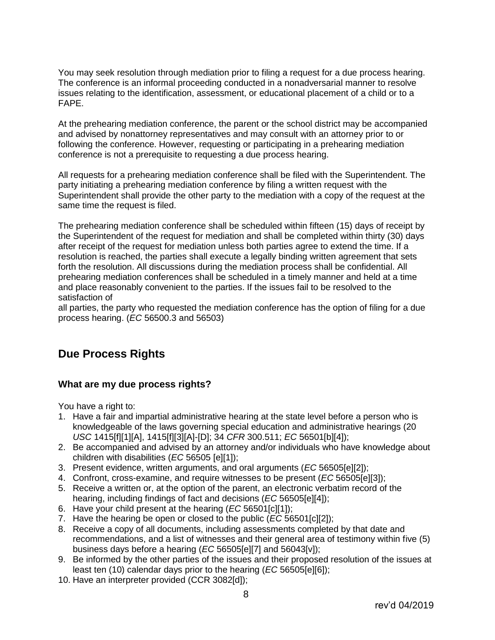You may seek resolution through mediation prior to filing a request for a due process hearing. The conference is an informal proceeding conducted in a nonadversarial manner to resolve issues relating to the identification, assessment, or educational placement of a child or to a FAPE.

At the prehearing mediation conference, the parent or the school district may be accompanied and advised by nonattorney representatives and may consult with an attorney prior to or following the conference. However, requesting or participating in a prehearing mediation conference is not a prerequisite to requesting a due process hearing.

All requests for a prehearing mediation conference shall be filed with the Superintendent. The party initiating a prehearing mediation conference by filing a written request with the Superintendent shall provide the other party to the mediation with a copy of the request at the same time the request is filed.

The prehearing mediation conference shall be scheduled within fifteen (15) days of receipt by the Superintendent of the request for mediation and shall be completed within thirty (30) days after receipt of the request for mediation unless both parties agree to extend the time. If a resolution is reached, the parties shall execute a legally binding written agreement that sets forth the resolution. All discussions during the mediation process shall be confidential. All prehearing mediation conferences shall be scheduled in a timely manner and held at a time and place reasonably convenient to the parties. If the issues fail to be resolved to the satisfaction of

all parties, the party who requested the mediation conference has the option of filing for a due process hearing. (*EC* 56500.3 and 56503)

## **Due Process Rights**

#### **What are my due process rights?**

You have a right to:

- 1. Have a fair and impartial administrative hearing at the state level before a person who is knowledgeable of the laws governing special education and administrative hearings (20 *USC* 1415[f][1][A], 1415[f][3][A]-[D]; 34 *CFR* 300.511; *EC* 56501[b][4]);
- 2. Be accompanied and advised by an attorney and/or individuals who have knowledge about children with disabilities (*EC* 56505 [e][1]);
- 3. Present evidence, written arguments, and oral arguments (*EC* 56505[e][2]);
- 4. Confront, cross-examine, and require witnesses to be present (*EC* 56505[e][3]);
- 5. Receive a written or, at the option of the parent, an electronic verbatim record of the hearing, including findings of fact and decisions (*EC* 56505[e][4]);
- 6. Have your child present at the hearing (*EC* 56501[c][1]);
- 7. Have the hearing be open or closed to the public (*EC* 56501[c][2]);
- 8. Receive a copy of all documents, including assessments completed by that date and recommendations, and a list of witnesses and their general area of testimony within five (5) business days before a hearing (*EC* 56505[e][7] and 56043[v]);
- 9. Be informed by the other parties of the issues and their proposed resolution of the issues at least ten (10) calendar days prior to the hearing (*EC* 56505[e][6]);
- 10. Have an interpreter provided (CCR 3082[d]);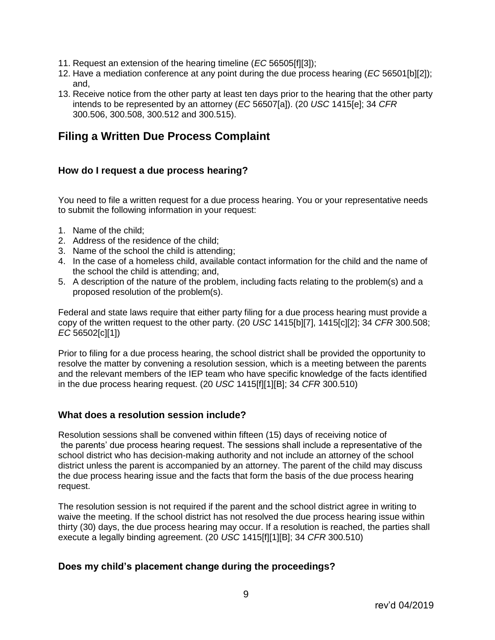- 11. Request an extension of the hearing timeline (*EC* 56505[f][3]);
- 12. Have a mediation conference at any point during the due process hearing (*EC* 56501[b][2]); and,
- 13. Receive notice from the other party at least ten days prior to the hearing that the other party intends to be represented by an attorney (*EC* 56507[a]). (20 *USC* 1415[e]; 34 *CFR* 300.506, 300.508, 300.512 and 300.515).

## **Filing a Written Due Process Complaint**

#### **How do I request a due process hearing?**

You need to file a written request for a due process hearing. You or your representative needs to submit the following information in your request:

- 1. Name of the child;
- 2. Address of the residence of the child;
- 3. Name of the school the child is attending;
- 4. In the case of a homeless child, available contact information for the child and the name of the school the child is attending; and,
- 5. A description of the nature of the problem, including facts relating to the problem(s) and a proposed resolution of the problem(s).

Federal and state laws require that either party filing for a due process hearing must provide a copy of the written request to the other party. (20 *USC* 1415[b][7], 1415[c][2]; 34 *CFR* 300.508; *EC* 56502[c][1])

Prior to filing for a due process hearing, the school district shall be provided the opportunity to resolve the matter by convening a resolution session, which is a meeting between the parents and the relevant members of the IEP team who have specific knowledge of the facts identified in the due process hearing request. (20 *USC* 1415[f][1][B]; 34 *CFR* 300.510)

#### **What does a resolution session include?**

Resolution sessions shall be convened within fifteen (15) days of receiving notice of the parents' due process hearing request. The sessions shall include a representative of the school district who has decision-making authority and not include an attorney of the school district unless the parent is accompanied by an attorney. The parent of the child may discuss the due process hearing issue and the facts that form the basis of the due process hearing request.

The resolution session is not required if the parent and the school district agree in writing to waive the meeting. If the school district has not resolved the due process hearing issue within thirty (30) days, the due process hearing may occur. If a resolution is reached, the parties shall execute a legally binding agreement. (20 *USC* 1415[f][1][B]; 34 *CFR* 300.510)

#### **Does my child's placement change during the proceedings?**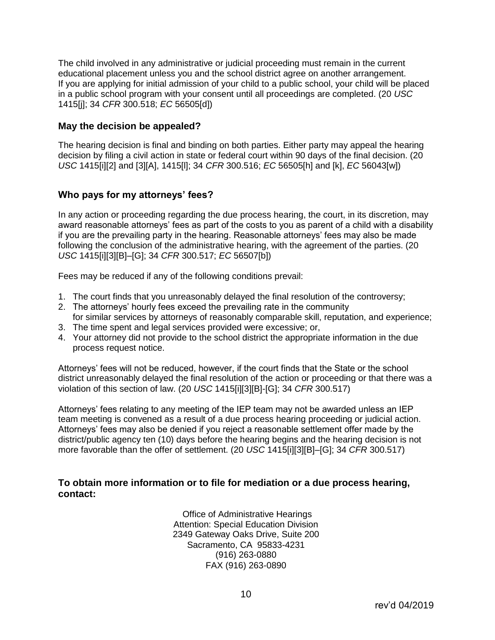The child involved in any administrative or judicial proceeding must remain in the current educational placement unless you and the school district agree on another arrangement. If you are applying for initial admission of your child to a public school, your child will be placed in a public school program with your consent until all proceedings are completed. (20 *USC* 1415[j]; 34 *CFR* 300.518; *EC* 56505[d])

#### **May the decision be appealed?**

The hearing decision is final and binding on both parties. Either party may appeal the hearing decision by filing a civil action in state or federal court within 90 days of the final decision. (20 *USC* 1415[i][2] and [3][A], 1415[l]; 34 *CFR* 300.516; *EC* 56505[h] and [k], *EC* 56043[w])

#### **Who pays for my attorneys' fees?**

In any action or proceeding regarding the due process hearing, the court, in its discretion, may award reasonable attorneys' fees as part of the costs to you as parent of a child with a disability if you are the prevailing party in the hearing. Reasonable attorneys' fees may also be made following the conclusion of the administrative hearing, with the agreement of the parties. (20 *USC* 1415[i][3][B]–[G]; 34 *CFR* 300.517; *EC* 56507[b])

Fees may be reduced if any of the following conditions prevail:

- 1. The court finds that you unreasonably delayed the final resolution of the controversy;
- 2. The attorneys' hourly fees exceed the prevailing rate in the community for similar services by attorneys of reasonably comparable skill, reputation, and experience;
- 3. The time spent and legal services provided were excessive; or,
- 4. Your attorney did not provide to the school district the appropriate information in the due process request notice.

Attorneys' fees will not be reduced, however, if the court finds that the State or the school district unreasonably delayed the final resolution of the action or proceeding or that there was a violation of this section of law. (20 *USC* 1415[i][3][B]-[G]; 34 *CFR* 300.517)

Attorneys' fees relating to any meeting of the IEP team may not be awarded unless an IEP team meeting is convened as a result of a due process hearing proceeding or judicial action. Attorneys' fees may also be denied if you reject a reasonable settlement offer made by the district/public agency ten (10) days before the hearing begins and the hearing decision is not more favorable than the offer of settlement. (20 *USC* 1415[i][3][B]–[G]; 34 *CFR* 300.517)

#### **To obtain more information or to file for mediation or a due process hearing, contact:**

Office of Administrative Hearings Attention: Special Education Division 2349 Gateway Oaks Drive, Suite 200 Sacramento, CA 95833-4231 (916) 263-0880 FAX (916) 263-0890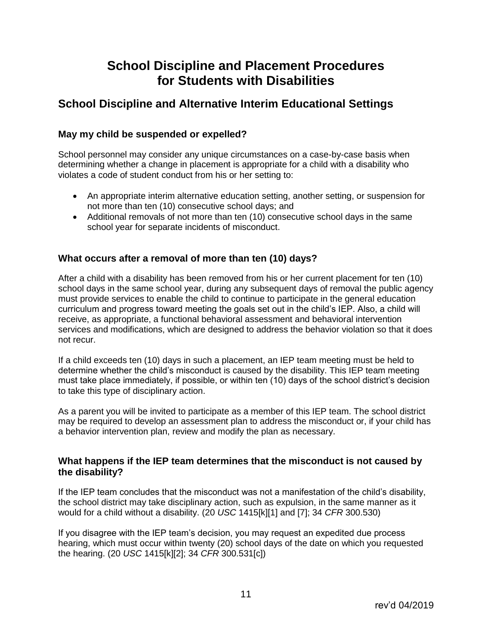## **School Discipline and Placement Procedures for Students with Disabilities**

## **School Discipline and Alternative Interim Educational Settings**

#### **May my child be suspended or expelled?**

School personnel may consider any unique circumstances on a case-by-case basis when determining whether a change in placement is appropriate for a child with a disability who violates a code of student conduct from his or her setting to:

- An appropriate interim alternative education setting, another setting, or suspension for not more than ten (10) consecutive school days; and
- Additional removals of not more than ten (10) consecutive school days in the same school year for separate incidents of misconduct.

#### **What occurs after a removal of more than ten (10) days?**

After a child with a disability has been removed from his or her current placement for ten (10) school days in the same school year, during any subsequent days of removal the public agency must provide services to enable the child to continue to participate in the general education curriculum and progress toward meeting the goals set out in the child's IEP. Also, a child will receive, as appropriate, a functional behavioral assessment and behavioral intervention services and modifications, which are designed to address the behavior violation so that it does not recur.

If a child exceeds ten (10) days in such a placement, an IEP team meeting must be held to determine whether the child's misconduct is caused by the disability. This IEP team meeting must take place immediately, if possible, or within ten (10) days of the school district's decision to take this type of disciplinary action.

As a parent you will be invited to participate as a member of this IEP team. The school district may be required to develop an assessment plan to address the misconduct or, if your child has a behavior intervention plan, review and modify the plan as necessary.

#### **What happens if the IEP team determines that the misconduct is not caused by the disability?**

If the IEP team concludes that the misconduct was not a manifestation of the child's disability, the school district may take disciplinary action, such as expulsion, in the same manner as it would for a child without a disability. (20 *USC* 1415[k][1] and [7]; 34 *CFR* 300.530)

If you disagree with the IEP team's decision, you may request an expedited due process hearing, which must occur within twenty (20) school days of the date on which you requested the hearing. (20 *USC* 1415[k][2]; 34 *CFR* 300.531[c])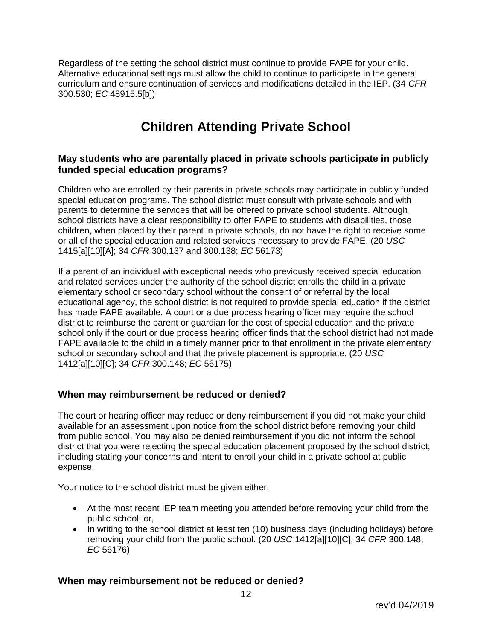Regardless of the setting the school district must continue to provide FAPE for your child. Alternative educational settings must allow the child to continue to participate in the general curriculum and ensure continuation of services and modifications detailed in the IEP. (34 *CFR* 300.530; *EC* 48915.5[b])

## **Children Attending Private School**

#### **May students who are parentally placed in private schools participate in publicly funded special education programs?**

Children who are enrolled by their parents in private schools may participate in publicly funded special education programs. The school district must consult with private schools and with parents to determine the services that will be offered to private school students. Although school districts have a clear responsibility to offer FAPE to students with disabilities, those children, when placed by their parent in private schools, do not have the right to receive some or all of the special education and related services necessary to provide FAPE. (20 *USC* 1415[a][10][A]; 34 *CFR* 300.137 and 300.138; *EC* 56173)

If a parent of an individual with exceptional needs who previously received special education and related services under the authority of the school district enrolls the child in a private elementary school or secondary school without the consent of or referral by the local educational agency, the school district is not required to provide special education if the district has made FAPE available. A court or a due process hearing officer may require the school district to reimburse the parent or guardian for the cost of special education and the private school only if the court or due process hearing officer finds that the school district had not made FAPE available to the child in a timely manner prior to that enrollment in the private elementary school or secondary school and that the private placement is appropriate. (20 *USC* 1412[a][10][C]; 34 *CFR* 300.148; *EC* 56175)

#### **When may reimbursement be reduced or denied?**

The court or hearing officer may reduce or deny reimbursement if you did not make your child available for an assessment upon notice from the school district before removing your child from public school. You may also be denied reimbursement if you did not inform the school district that you were rejecting the special education placement proposed by the school district, including stating your concerns and intent to enroll your child in a private school at public expense.

Your notice to the school district must be given either:

- At the most recent IEP team meeting you attended before removing your child from the public school; or,
- In writing to the school district at least ten (10) business days (including holidays) before removing your child from the public school. (20 *USC* 1412[a][10][C]; 34 *CFR* 300.148; *EC* 56176)

#### **When may reimbursement not be reduced or denied?**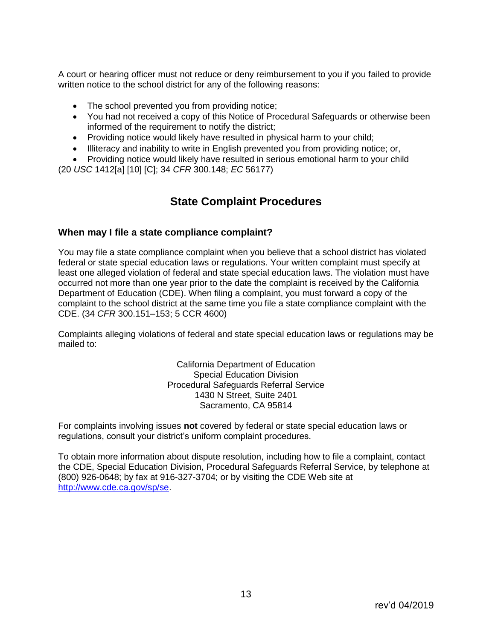A court or hearing officer must not reduce or deny reimbursement to you if you failed to provide written notice to the school district for any of the following reasons:

- The school prevented you from providing notice;
- You had not received a copy of this Notice of Procedural Safeguards or otherwise been informed of the requirement to notify the district;
- Providing notice would likely have resulted in physical harm to your child;
- Illiteracy and inability to write in English prevented you from providing notice; or,
- Providing notice would likely have resulted in serious emotional harm to your child (20 *USC* 1412[a] [10] [C]; 34 *CFR* 300.148; *EC* 56177)

### **State Complaint Procedures**

#### **When may I file a state compliance complaint?**

You may file a state compliance complaint when you believe that a school district has violated federal or state special education laws or regulations. Your written complaint must specify at least one alleged violation of federal and state special education laws. The violation must have occurred not more than one year prior to the date the complaint is received by the California Department of Education (CDE). When filing a complaint, you must forward a copy of the complaint to the school district at the same time you file a state compliance complaint with the CDE. (34 *CFR* 300.151–153; 5 CCR 4600)

Complaints alleging violations of federal and state special education laws or regulations may be mailed to:

> California Department of Education Special Education Division Procedural Safeguards Referral Service 1430 N Street, Suite 2401 Sacramento, CA 95814

For complaints involving issues **not** covered by federal or state special education laws or regulations, consult your district's uniform complaint procedures.

To obtain more information about dispute resolution, including how to file a complaint, contact the CDE, Special Education Division, Procedural Safeguards Referral Service, by telephone at (800) 926-0648; by fax at 916-327-3704; or by visiting the CDE Web site at [http://www.cde.ca.gov/sp/se.](http://www.cde.ca.gov/sp/se)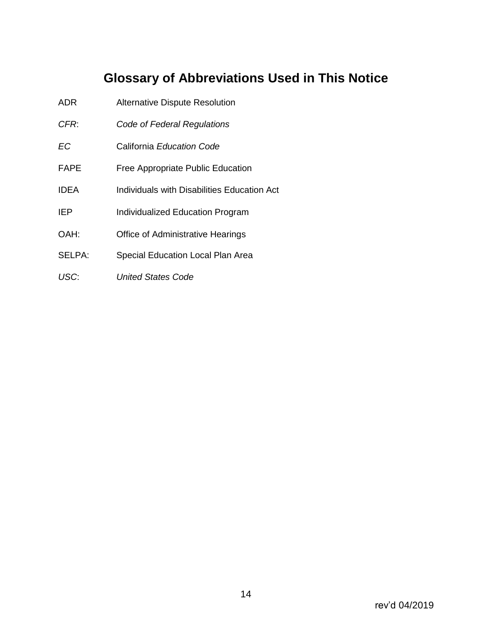## **Glossary of Abbreviations Used in This Notice**

- ADR Alternative Dispute Resolution
- *CFR*: *Code of Federal Regulations*
- *EC* California *Education Code*
- FAPE Free Appropriate Public Education
- IDEA Individuals with Disabilities Education Act
- IEP Individualized Education Program
- OAH: Office of Administrative Hearings
- SELPA: Special Education Local Plan Area
- *USC*: *United States Code*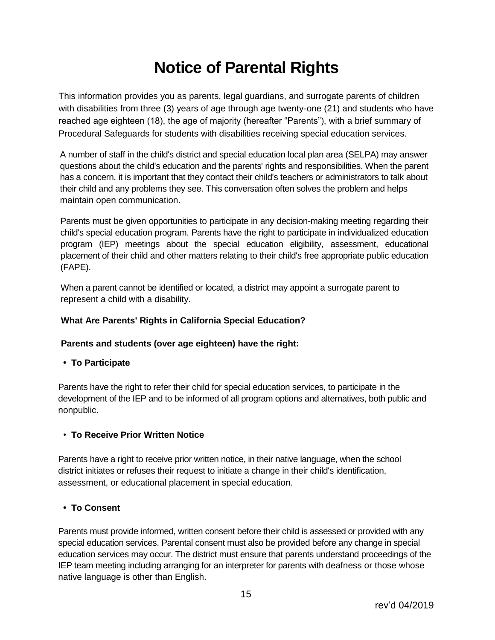# **Notice of Parental Rights**

This information provides you as parents, legal guardians, and surrogate parents of children with disabilities from three (3) years of age through age twenty-one (21) and students who have reached age eighteen (18), the age of majority (hereafter "Parents"), with a brief summary of Procedural Safeguards for students with disabilities receiving special education services.

A number of staff in the child's district and special education local plan area (SELPA) may answer questions about the child's education and the parents' rights and responsibilities. When the parent has a concern, it is important that they contact their child's teachers or administrators to talk about their child and any problems they see. This conversation often solves the problem and helps maintain open communication.

Parents must be given opportunities to participate in any decision-making meeting regarding their child's special education program. Parents have the right to participate in individualized education program (IEP) meetings about the special education eligibility, assessment, educational placement of their child and other matters relating to their child's free appropriate public education (FAPE).

When a parent cannot be identified or located, a district may appoint a surrogate parent to represent a child with a disability.

#### **What Are Parents' Rights in California Special Education?**

#### **Parents and students (over age eighteen) have the right:**

 **• To Participate**

Parents have the right to refer their child for special education services, to participate in the development of the IEP and to be informed of all program options and alternatives, both public and nonpublic.

#### • **To Receive Prior Written Notice**

Parents have a right to receive prior written notice, in their native language, when the school district initiates or refuses their request to initiate a change in their child's identification, assessment, or educational placement in special education.

#### **• To Consent**

Parents must provide informed, written consent before their child is assessed or provided with any special education services. Parental consent must also be provided before any change in special education services may occur. The district must ensure that parents understand proceedings of the IEP team meeting including arranging for an interpreter for parents with deafness or those whose native language is other than English.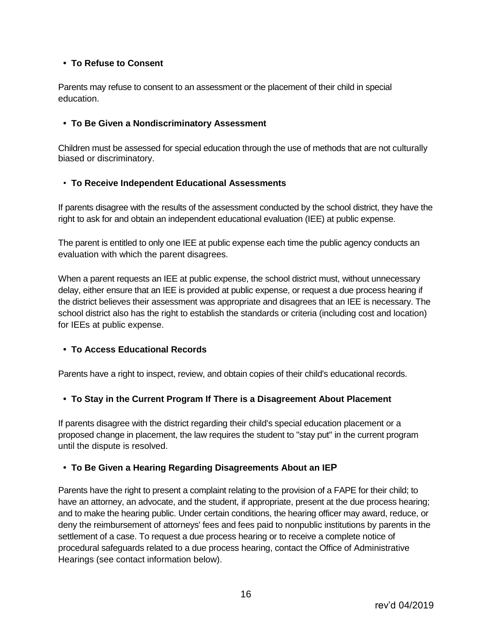#### **• To Refuse to Consent**

Parents may refuse to consent to an assessment or the placement of their child in special education.

#### **• To Be Given a Nondiscriminatory Assessment**

Children must be assessed for special education through the use of methods that are not culturally biased or discriminatory.

#### • **To Receive Independent Educational Assessments**

If parents disagree with the results of the assessment conducted by the school district, they have the right to ask for and obtain an independent educational evaluation (IEE) at public expense.

The parent is entitled to only one IEE at public expense each time the public agency conducts an evaluation with which the parent disagrees.

When a parent requests an IEE at public expense, the school district must, without unnecessary delay, either ensure that an IEE is provided at public expense, or request a due process hearing if the district believes their assessment was appropriate and disagrees that an IEE is necessary. The school district also has the right to establish the standards or criteria (including cost and location) for IEEs at public expense.

#### **• To Access Educational Records**

Parents have a right to inspect, review, and obtain copies of their child's educational records.

#### **• To Stay in the Current Program If There is a Disagreement About Placement**

If parents disagree with the district regarding their child's special education placement or a proposed change in placement, the law requires the student to "stay put" in the current program until the dispute is resolved.

#### **• To Be Given a Hearing Regarding Disagreements About an IEP**

Parents have the right to present a complaint relating to the provision of a FAPE for their child; to have an attorney, an advocate, and the student, if appropriate, present at the due process hearing; and to make the hearing public. Under certain conditions, the hearing officer may award, reduce, or deny the reimbursement of attorneys' fees and fees paid to nonpublic institutions by parents in the settlement of a case. To request a due process hearing or to receive a complete notice of procedural safeguards related to a due process hearing, contact the Office of Administrative Hearings (see contact information below).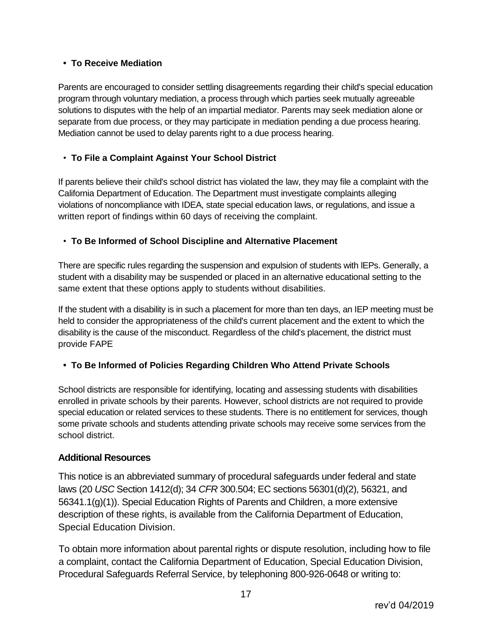#### **• To Receive Mediation**

Parents are encouraged to consider settling disagreements regarding their child's special education program through voluntary mediation, a process through which parties seek mutually agreeable solutions to disputes with the help of an impartial mediator. Parents may seek mediation alone or separate from due process, or they may participate in mediation pending a due process hearing. Mediation cannot be used to delay parents right to a due process hearing.

#### • **To File a Complaint Against Your School District**

If parents believe their child's school district has violated the law, they may file a complaint with the California Department of Education. The Department must investigate complaints alleging violations of noncompliance with IDEA, state special education laws, or regulations, and issue a written report of findings within 60 days of receiving the complaint.

#### • **To Be Informed of School Discipline and Alternative Placement**

There are specific rules regarding the suspension and expulsion of students with lEPs. Generally, a student with a disability may be suspended or placed in an alternative educational setting to the same extent that these options apply to students without disabilities.

If the student with a disability is in such a placement for more than ten days, an IEP meeting must be held to consider the appropriateness of the child's current placement and the extent to which the disability is the cause of the misconduct. Regardless of the child's placement, the district must provide FAPE

#### **• To Be Informed of Policies Regarding Children Who Attend Private Schools**

School districts are responsible for identifying, locating and assessing students with disabilities enrolled in private schools by their parents. However, school districts are not required to provide special education or related services to these students. There is no entitlement for services, though some private schools and students attending private schools may receive some services from the school district.

#### **Additional Resources**

This notice is an abbreviated summary of procedural safeguards under federal and state laws (20 *USC* Section 1412(d); 34 *CFR* 300.504; EC sections 56301(d)(2), 56321, and 56341.1(g)(1)). Special Education Rights of Parents and Children, a more extensive description of these rights, is available from the California Department of Education, Special Education Division.

To obtain more information about parental rights or dispute resolution, including how to file a complaint, contact the California Department of Education, Special Education Division, Procedural Safeguards Referral Service, by telephoning 800-926-0648 or writing to: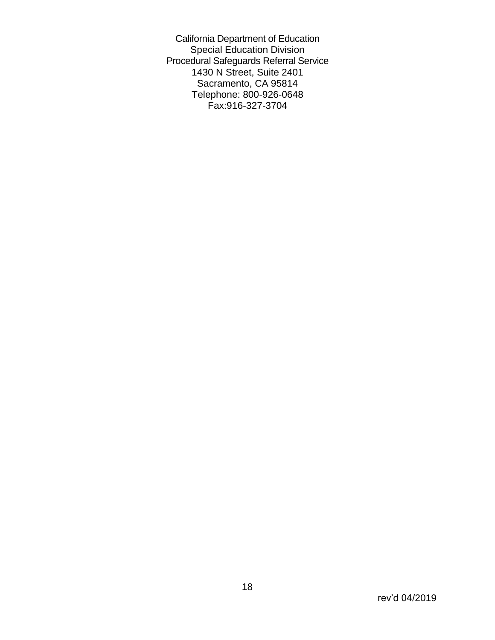California Department of Education Special Education Division Procedural Safeguards Referral Service 1430 N Street, Suite 2401 Sacramento, CA 95814 Telephone: 800-926-0648 Fax:916-327-3704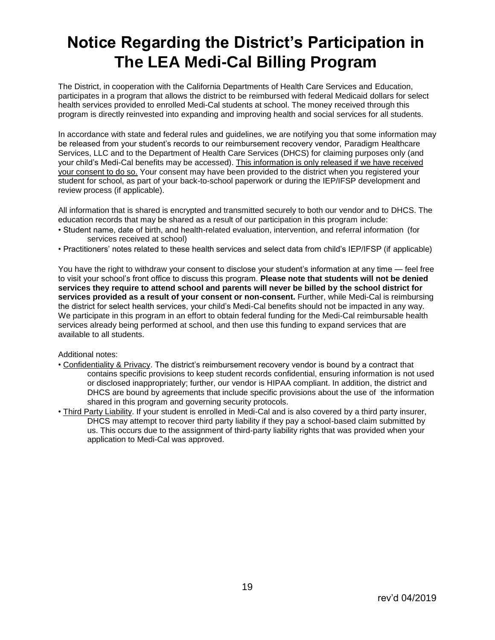# **Notice Regarding the District's Participation in The LEA Medi-Cal Billing Program**

The District, in cooperation with the California Departments of Health Care Services and Education, participates in a program that allows the district to be reimbursed with federal Medicaid dollars for select health services provided to enrolled Medi-Cal students at school. The money received through this program is directly reinvested into expanding and improving health and social services for all students.

In accordance with state and federal rules and guidelines, we are notifying you that some information may be released from your student's records to our reimbursement recovery vendor, Paradigm Healthcare Services, LLC and to the Department of Health Care Services (DHCS) for claiming purposes only (and your child's Medi-Cal benefits may be accessed). This information is only released if we have received your consent to do so. Your consent may have been provided to the district when you registered your student for school, as part of your back-to-school paperwork or during the IEP/IFSP development and review process (if applicable).

All information that is shared is encrypted and transmitted securely to both our vendor and to DHCS. The education records that may be shared as a result of our participation in this program include:

- Student name, date of birth, and health-related evaluation, intervention, and referral information (for services received at school)
- Practitioners' notes related to these health services and select data from child's IEP/IFSP (if applicable)

You have the right to withdraw your consent to disclose your student's information at any time — feel free to visit your school's front office to discuss this program. **Please note that students will not be denied services they require to attend school and parents will never be billed by the school district for services provided as a result of your consent or non-consent.** Further, while Medi-Cal is reimbursing the district for select health services, your child's Medi-Cal benefits should not be impacted in any way. We participate in this program in an effort to obtain federal funding for the Medi-Cal reimbursable health services already being performed at school, and then use this funding to expand services that are available to all students.

#### Additional notes:

- Confidentiality & Privacy. The district's reimbursement recovery vendor is bound by a contract that contains specific provisions to keep student records confidential, ensuring information is not used or disclosed inappropriately; further, our vendor is HIPAA compliant. In addition, the district and DHCS are bound by agreements that include specific provisions about the use of the information shared in this program and governing security protocols.
- Third Party Liability. If your student is enrolled in Medi-Cal and is also covered by a third party insurer, DHCS may attempt to recover third party liability if they pay a school-based claim submitted by us. This occurs due to the assignment of third-party liability rights that was provided when your application to Medi-Cal was approved.